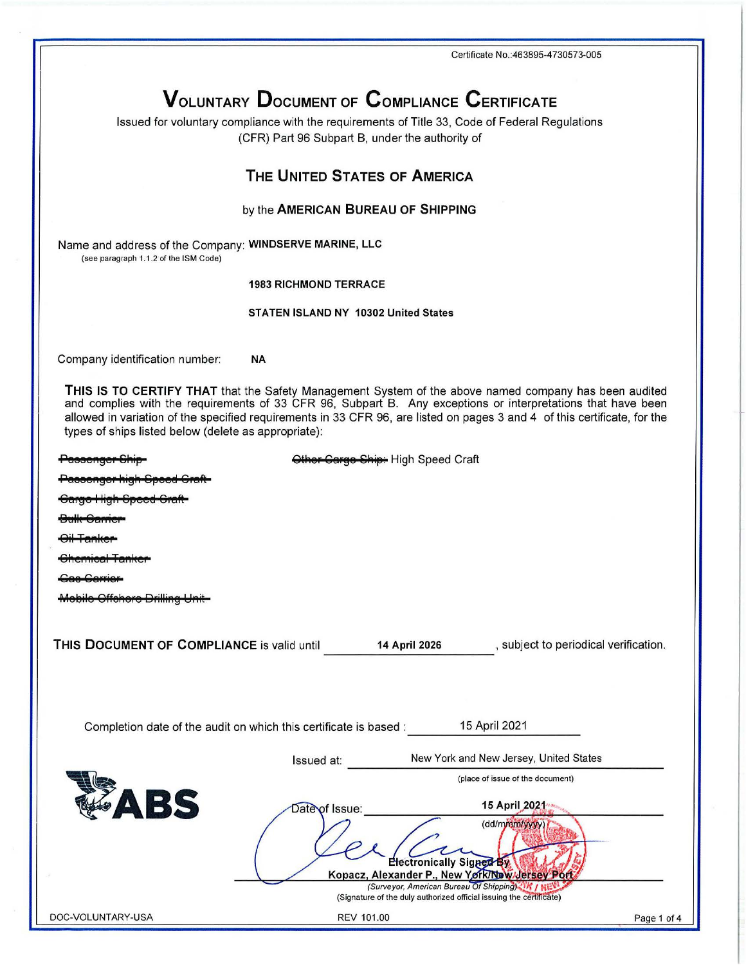Certificate No.: 463895-4730573-005

# **VOLUNTARY DOCUMENT OF COMPLIANCE CERTIFICATE**

Issued for voluntary compliance with the requirements of Title 33, Code of Federal Regulations (CFR) Part 96 Subpart B, under the authority of

### THE UNITED STATES OF AMERICA

#### by the AMERICAN BUREAU OF SHIPPING

Name and address of the Company: WINDSERVE MARINE, LLC (see paragraph 1.1.2 of the ISM Code)

#### **1983 RICHMOND TERRACE**

#### STATEN ISLAND NY 10302 United States

Company identification number: **NA** 

THIS IS TO CERTIFY THAT that the Safety Management System of the above named company has been audited and complies with the requirements of 33 CFR 96, Subpart B. Any exceptions or interpretations that have been allowed in variation of the specified requirements in 33 CFR 96, are listed on pages 3 and 4 of this certificate, for the types of ships listed below (delete as appropriate):

| <del>assenger</del>                        |                                                                   | Other Garge Ship: High Speed Craft                                                                                                                                                                   |                                        |
|--------------------------------------------|-------------------------------------------------------------------|------------------------------------------------------------------------------------------------------------------------------------------------------------------------------------------------------|----------------------------------------|
| assenger nigh opeea                        |                                                                   |                                                                                                                                                                                                      |                                        |
| <del>Gargo High Speed Graft</del>          |                                                                   |                                                                                                                                                                                                      |                                        |
| <del>oarner</del>                          |                                                                   |                                                                                                                                                                                                      |                                        |
|                                            |                                                                   |                                                                                                                                                                                                      |                                        |
| <del>umuar ramici</del>                    |                                                                   |                                                                                                                                                                                                      |                                        |
|                                            |                                                                   |                                                                                                                                                                                                      |                                        |
| Offehore Drilling                          |                                                                   |                                                                                                                                                                                                      |                                        |
| THIS DOCUMENT OF COMPLIANCE is valid until |                                                                   | 14 April 2026                                                                                                                                                                                        | , subject to periodical verification.  |
|                                            | Completion date of the audit on which this certificate is based : |                                                                                                                                                                                                      | 15 April 2021                          |
|                                            | Issued at:                                                        |                                                                                                                                                                                                      | New York and New Jersey, United States |
|                                            |                                                                   |                                                                                                                                                                                                      | (place of issue of the document)       |
| ABS                                        | Date of Issue:                                                    |                                                                                                                                                                                                      | 15 April 2021<br>(dd/mmm/yyyy)         |
|                                            |                                                                   | Electronically Signed By<br>Kopacz, Alexander P., New York/New Jersey Poft<br>(Surveyor, American Bureau Of Shipping) 15 / NE<br>(Signature of the duly authorized official issuing the certificate) |                                        |
| <b>DOC-VOLUNTARY-USA</b>                   | <b>REV 101.00</b>                                                 |                                                                                                                                                                                                      | Page 1 of 4                            |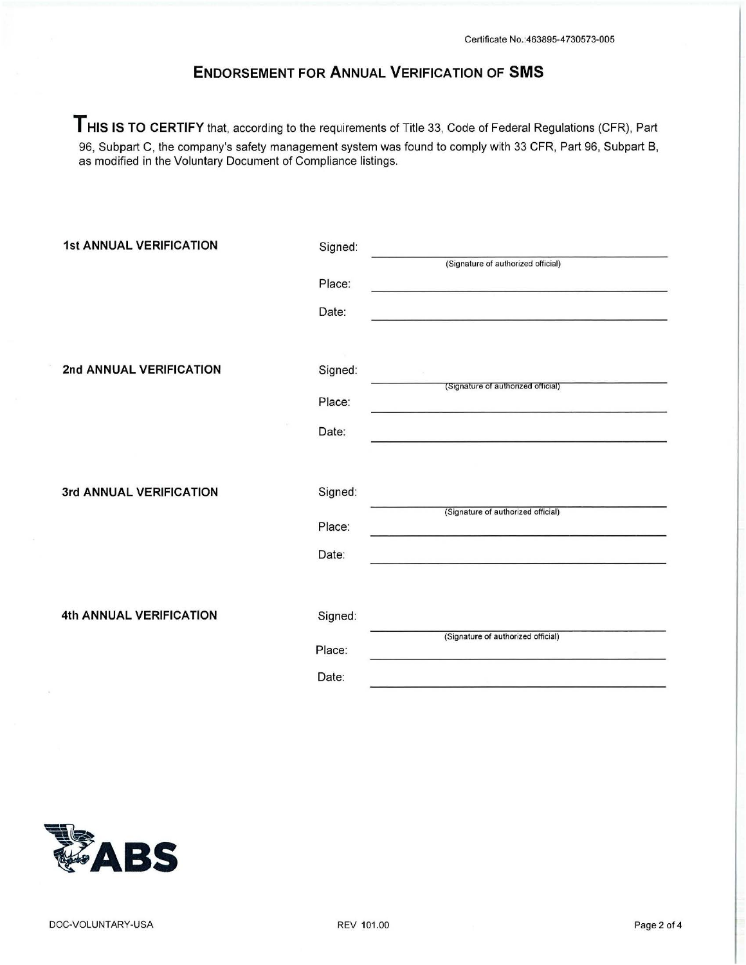## **ENDORSEMENT FOR ANNUAL VERIFICATION OF SMS**

**THIS IS TO CERTIFY** that, according to the requirements of Title 33, Code of Federal Regulations (CFR), Part 96, Subpart C, the company's safety management system was found to comply with 33 CFR, Part 96, Subpart B, as modified in the Voluntary Document of Compliance listings.

| <b>1st ANNUAL VERIFICATION</b> | Signed: |                                    |
|--------------------------------|---------|------------------------------------|
|                                |         | (Signature of authorized official) |
|                                | Place:  |                                    |
|                                | Date:   |                                    |
|                                |         |                                    |
| 2nd ANNUAL VERIFICATION        | Signed: |                                    |
|                                | Place:  | (Signature of authorized official) |
|                                | Date:   |                                    |
|                                |         |                                    |
| 3rd ANNUAL VERIFICATION        | Signed: |                                    |
|                                | Place:  | (Signature of authorized official) |
|                                | Date:   |                                    |
|                                |         |                                    |
| 4th ANNUAL VERIFICATION        | Signed: |                                    |
|                                | Place:  | (Signature of authorized official) |
|                                | Date:   |                                    |

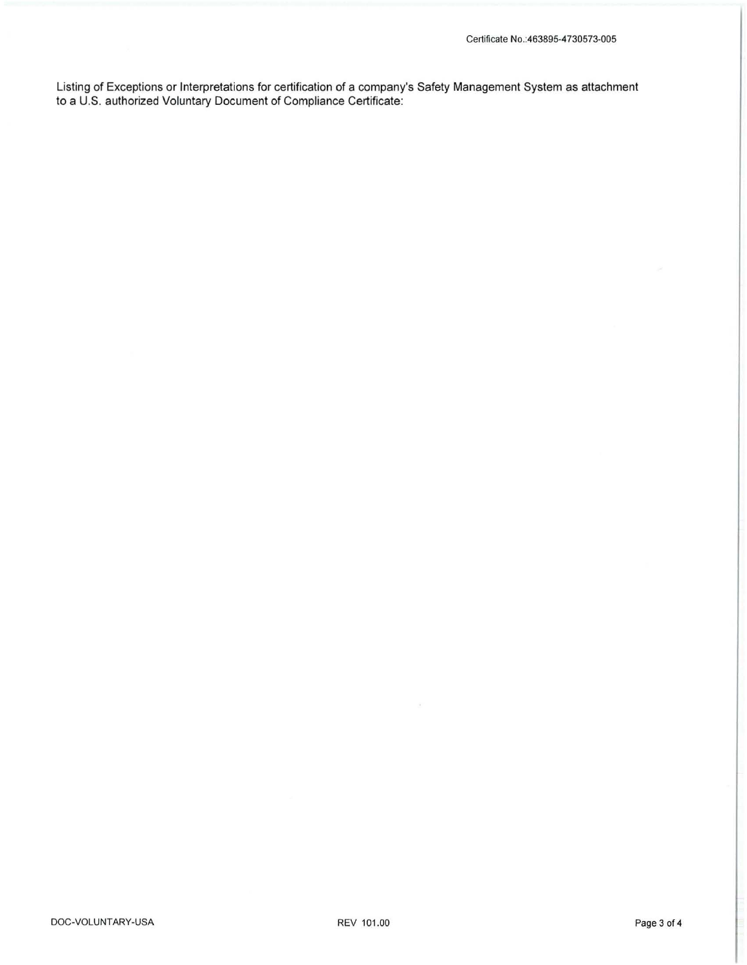Listing of Exceptions or Interpretations for certification of a company's Safety Management System as attachment to a U.S. authorized Voluntary Document of Compliance Certificate: